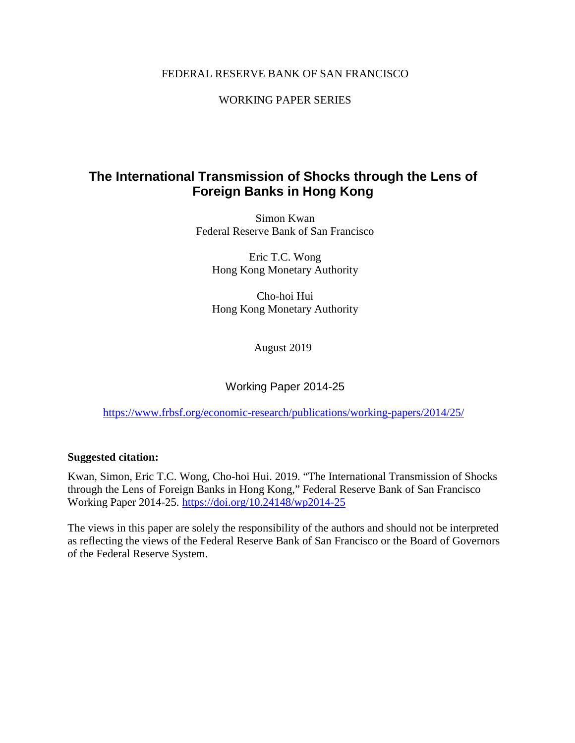### FEDERAL RESERVE BANK OF SAN FRANCISCO

WORKING PAPER SERIES

# **The International Transmission of Shocks through the Lens of Foreign Banks in Hong Kong**

Simon Kwan Federal Reserve Bank of San Francisco

Eric T.C. Wong Hong Kong Monetary Authority

Cho-hoi Hui Hong Kong Monetary Authority

August 2019

Working Paper 2014-25

<https://www.frbsf.org/economic-research/publications/working-papers/2014/25/>

### **Suggested citation:**

Kwan, Simon, Eric T.C. Wong, Cho-hoi Hui. 2019. "The International Transmission of Shocks through the Lens of Foreign Banks in Hong Kong," Federal Reserve Bank of San Francisco Working Paper 2014-25.<https://doi.org/10.24148/wp2014-25>

The views in this paper are solely the responsibility of the authors and should not be interpreted as reflecting the views of the Federal Reserve Bank of San Francisco or the Board of Governors of the Federal Reserve System.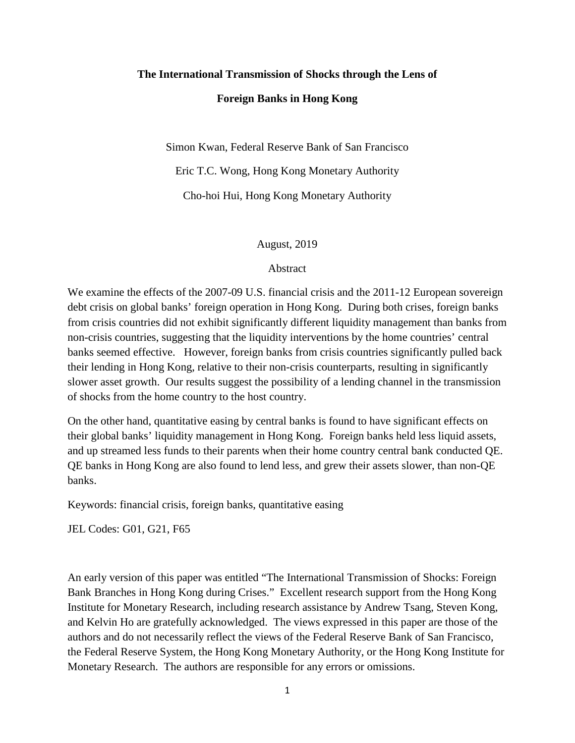# **The International Transmission of Shocks through the Lens of Foreign Banks in Hong Kong**

Simon Kwan, Federal Reserve Bank of San Francisco

Eric T.C. Wong, Hong Kong Monetary Authority

Cho-hoi Hui, Hong Kong Monetary Authority

#### August, 2019

#### Abstract

We examine the effects of the 2007-09 U.S. financial crisis and the 2011-12 European sovereign debt crisis on global banks' foreign operation in Hong Kong. During both crises, foreign banks from crisis countries did not exhibit significantly different liquidity management than banks from non-crisis countries, suggesting that the liquidity interventions by the home countries' central banks seemed effective. However, foreign banks from crisis countries significantly pulled back their lending in Hong Kong, relative to their non-crisis counterparts, resulting in significantly slower asset growth. Our results suggest the possibility of a lending channel in the transmission of shocks from the home country to the host country.

On the other hand, quantitative easing by central banks is found to have significant effects on their global banks' liquidity management in Hong Kong. Foreign banks held less liquid assets, and up streamed less funds to their parents when their home country central bank conducted QE. QE banks in Hong Kong are also found to lend less, and grew their assets slower, than non-QE banks.

Keywords: financial crisis, foreign banks, quantitative easing

JEL Codes: G01, G21, F65

An early version of this paper was entitled "The International Transmission of Shocks: Foreign Bank Branches in Hong Kong during Crises." Excellent research support from the Hong Kong Institute for Monetary Research, including research assistance by Andrew Tsang, Steven Kong, and Kelvin Ho are gratefully acknowledged. The views expressed in this paper are those of the authors and do not necessarily reflect the views of the Federal Reserve Bank of San Francisco, the Federal Reserve System, the Hong Kong Monetary Authority, or the Hong Kong Institute for Monetary Research. The authors are responsible for any errors or omissions.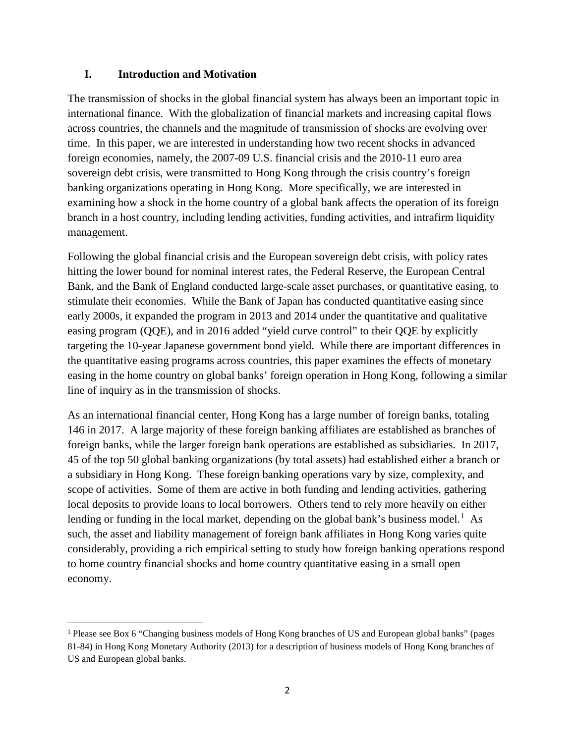## **I. Introduction and Motivation**

The transmission of shocks in the global financial system has always been an important topic in international finance. With the globalization of financial markets and increasing capital flows across countries, the channels and the magnitude of transmission of shocks are evolving over time. In this paper, we are interested in understanding how two recent shocks in advanced foreign economies, namely, the 2007-09 U.S. financial crisis and the 2010-11 euro area sovereign debt crisis, were transmitted to Hong Kong through the crisis country's foreign banking organizations operating in Hong Kong. More specifically, we are interested in examining how a shock in the home country of a global bank affects the operation of its foreign branch in a host country, including lending activities, funding activities, and intrafirm liquidity management.

Following the global financial crisis and the European sovereign debt crisis, with policy rates hitting the lower bound for nominal interest rates, the Federal Reserve, the European Central Bank, and the Bank of England conducted large-scale asset purchases, or quantitative easing, to stimulate their economies. While the Bank of Japan has conducted quantitative easing since early 2000s, it expanded the program in 2013 and 2014 under the quantitative and qualitative easing program (QQE), and in 2016 added "yield curve control" to their QQE by explicitly targeting the 10-year Japanese government bond yield. While there are important differences in the quantitative easing programs across countries, this paper examines the effects of monetary easing in the home country on global banks' foreign operation in Hong Kong, following a similar line of inquiry as in the transmission of shocks.

As an international financial center, Hong Kong has a large number of foreign banks, totaling 146 in 2017. A large majority of these foreign banking affiliates are established as branches of foreign banks, while the larger foreign bank operations are established as subsidiaries. In 2017, 45 of the top 50 global banking organizations (by total assets) had established either a branch or a subsidiary in Hong Kong. These foreign banking operations vary by size, complexity, and scope of activities. Some of them are active in both funding and lending activities, gathering local deposits to provide loans to local borrowers. Others tend to rely more heavily on either lending or funding in the local market, depending on the global bank's business model.<sup>[1](#page-2-0)</sup> As such, the asset and liability management of foreign bank affiliates in Hong Kong varies quite considerably, providing a rich empirical setting to study how foreign banking operations respond to home country financial shocks and home country quantitative easing in a small open economy.

<span id="page-2-0"></span> <sup>1</sup> Please see Box 6 "Changing business models of Hong Kong branches of US and European global banks" (pages 81-84) in Hong Kong Monetary Authority (2013) for a description of business models of Hong Kong branches of US and European global banks.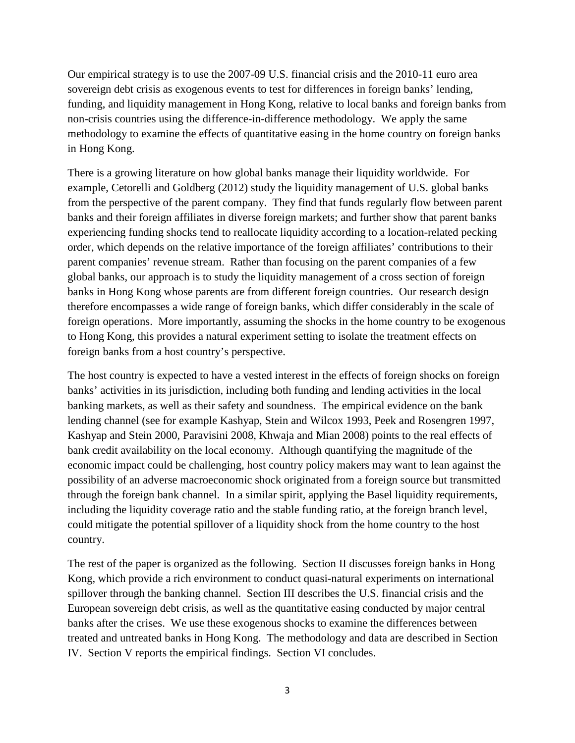Our empirical strategy is to use the 2007-09 U.S. financial crisis and the 2010-11 euro area sovereign debt crisis as exogenous events to test for differences in foreign banks' lending, funding, and liquidity management in Hong Kong, relative to local banks and foreign banks from non-crisis countries using the difference-in-difference methodology. We apply the same methodology to examine the effects of quantitative easing in the home country on foreign banks in Hong Kong.

There is a growing literature on how global banks manage their liquidity worldwide. For example, Cetorelli and Goldberg (2012) study the liquidity management of U.S. global banks from the perspective of the parent company. They find that funds regularly flow between parent banks and their foreign affiliates in diverse foreign markets; and further show that parent banks experiencing funding shocks tend to reallocate liquidity according to a location-related pecking order, which depends on the relative importance of the foreign affiliates' contributions to their parent companies' revenue stream. Rather than focusing on the parent companies of a few global banks, our approach is to study the liquidity management of a cross section of foreign banks in Hong Kong whose parents are from different foreign countries. Our research design therefore encompasses a wide range of foreign banks, which differ considerably in the scale of foreign operations. More importantly, assuming the shocks in the home country to be exogenous to Hong Kong, this provides a natural experiment setting to isolate the treatment effects on foreign banks from a host country's perspective.

The host country is expected to have a vested interest in the effects of foreign shocks on foreign banks' activities in its jurisdiction, including both funding and lending activities in the local banking markets, as well as their safety and soundness. The empirical evidence on the bank lending channel (see for example Kashyap, Stein and Wilcox 1993, Peek and Rosengren 1997, Kashyap and Stein 2000, Paravisini 2008, Khwaja and Mian 2008) points to the real effects of bank credit availability on the local economy. Although quantifying the magnitude of the economic impact could be challenging, host country policy makers may want to lean against the possibility of an adverse macroeconomic shock originated from a foreign source but transmitted through the foreign bank channel. In a similar spirit, applying the Basel liquidity requirements, including the liquidity coverage ratio and the stable funding ratio, at the foreign branch level, could mitigate the potential spillover of a liquidity shock from the home country to the host country.

The rest of the paper is organized as the following. Section II discusses foreign banks in Hong Kong, which provide a rich environment to conduct quasi-natural experiments on international spillover through the banking channel. Section III describes the U.S. financial crisis and the European sovereign debt crisis, as well as the quantitative easing conducted by major central banks after the crises. We use these exogenous shocks to examine the differences between treated and untreated banks in Hong Kong. The methodology and data are described in Section IV. Section V reports the empirical findings. Section VI concludes.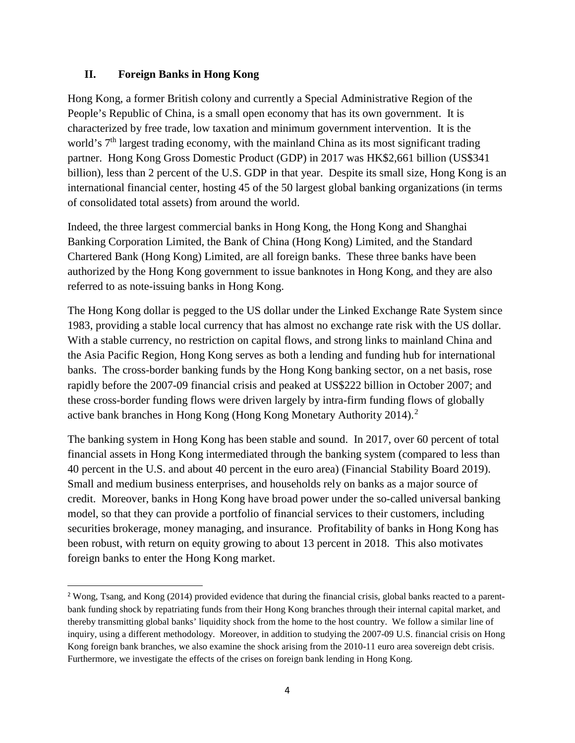## **II. Foreign Banks in Hong Kong**

Hong Kong, a former British colony and currently a Special Administrative Region of the People's Republic of China, is a small open economy that has its own government. It is characterized by free trade, low taxation and minimum government intervention. It is the world's 7<sup>th</sup> largest trading economy, with the mainland China as its most significant trading partner. Hong Kong Gross Domestic Product (GDP) in 2017 was HK\$2,661 billion (US\$341 billion), less than 2 percent of the U.S. GDP in that year. Despite its small size, Hong Kong is an international financial center, hosting 45 of the 50 largest global banking organizations (in terms of consolidated total assets) from around the world.

Indeed, the three largest commercial banks in Hong Kong, the Hong Kong and Shanghai Banking Corporation Limited, the Bank of China (Hong Kong) Limited, and the Standard Chartered Bank (Hong Kong) Limited, are all foreign banks. These three banks have been authorized by the Hong Kong government to issue banknotes in Hong Kong, and they are also referred to as note-issuing banks in Hong Kong.

The Hong Kong dollar is pegged to the US dollar under the Linked Exchange Rate System since 1983, providing a stable local currency that has almost no exchange rate risk with the US dollar. With a stable currency, no restriction on capital flows, and strong links to mainland China and the Asia Pacific Region, Hong Kong serves as both a lending and funding hub for international banks. The cross-border banking funds by the Hong Kong banking sector, on a net basis, rose rapidly before the 2007-09 financial crisis and peaked at US\$222 billion in October 2007; and these cross-border funding flows were driven largely by intra-firm funding flows of globally active bank branches in Hong Kong (Hong Kong Monetary Authority [2](#page-4-0)014).<sup>2</sup>

The banking system in Hong Kong has been stable and sound. In 2017, over 60 percent of total financial assets in Hong Kong intermediated through the banking system (compared to less than 40 percent in the U.S. and about 40 percent in the euro area) (Financial Stability Board 2019). Small and medium business enterprises, and households rely on banks as a major source of credit. Moreover, banks in Hong Kong have broad power under the so-called universal banking model, so that they can provide a portfolio of financial services to their customers, including securities brokerage, money managing, and insurance. Profitability of banks in Hong Kong has been robust, with return on equity growing to about 13 percent in 2018. This also motivates foreign banks to enter the Hong Kong market.

<span id="page-4-0"></span> <sup>2</sup> Wong, Tsang, and Kong (2014) provided evidence that during the financial crisis, global banks reacted to a parentbank funding shock by repatriating funds from their Hong Kong branches through their internal capital market, and thereby transmitting global banks' liquidity shock from the home to the host country. We follow a similar line of inquiry, using a different methodology. Moreover, in addition to studying the 2007-09 U.S. financial crisis on Hong Kong foreign bank branches, we also examine the shock arising from the 2010-11 euro area sovereign debt crisis. Furthermore, we investigate the effects of the crises on foreign bank lending in Hong Kong.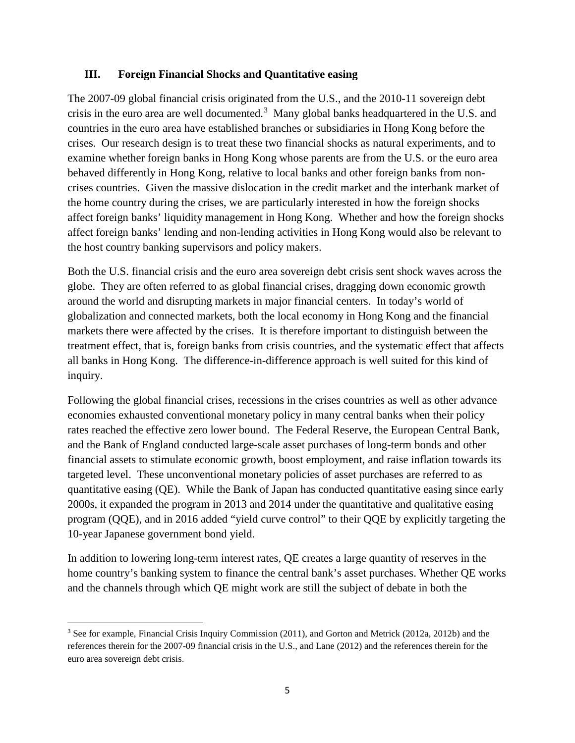### **III. Foreign Financial Shocks and Quantitative easing**

The 2007-09 global financial crisis originated from the U.S., and the 2010-11 sovereign debt crisis in the euro area are well documented.<sup>[3](#page-5-0)</sup> Many global banks headquartered in the U.S. and countries in the euro area have established branches or subsidiaries in Hong Kong before the crises. Our research design is to treat these two financial shocks as natural experiments, and to examine whether foreign banks in Hong Kong whose parents are from the U.S. or the euro area behaved differently in Hong Kong, relative to local banks and other foreign banks from noncrises countries. Given the massive dislocation in the credit market and the interbank market of the home country during the crises, we are particularly interested in how the foreign shocks affect foreign banks' liquidity management in Hong Kong. Whether and how the foreign shocks affect foreign banks' lending and non-lending activities in Hong Kong would also be relevant to the host country banking supervisors and policy makers.

Both the U.S. financial crisis and the euro area sovereign debt crisis sent shock waves across the globe. They are often referred to as global financial crises, dragging down economic growth around the world and disrupting markets in major financial centers. In today's world of globalization and connected markets, both the local economy in Hong Kong and the financial markets there were affected by the crises. It is therefore important to distinguish between the treatment effect, that is, foreign banks from crisis countries, and the systematic effect that affects all banks in Hong Kong. The difference-in-difference approach is well suited for this kind of inquiry.

Following the global financial crises, recessions in the crises countries as well as other advance economies exhausted conventional monetary policy in many central banks when their policy rates reached the effective zero lower bound. The Federal Reserve, the European Central Bank, and the Bank of England conducted large-scale asset purchases of long-term bonds and other financial assets to stimulate economic growth, boost employment, and raise inflation towards its targeted level. These unconventional monetary policies of asset purchases are referred to as quantitative easing (QE). While the Bank of Japan has conducted quantitative easing since early 2000s, it expanded the program in 2013 and 2014 under the quantitative and qualitative easing program (QQE), and in 2016 added "yield curve control" to their QQE by explicitly targeting the 10-year Japanese government bond yield.

In addition to lowering long-term interest rates, QE creates a large quantity of reserves in the home country's banking system to finance the central bank's asset purchases. Whether QE works and the channels through which QE might work are still the subject of debate in both the

 $\overline{a}$ 

<span id="page-5-0"></span><sup>&</sup>lt;sup>3</sup> See for example, Financial Crisis Inquiry Commission (2011), and Gorton and Metrick (2012a, 2012b) and the references therein for the 2007-09 financial crisis in the U.S., and Lane (2012) and the references therein for the euro area sovereign debt crisis.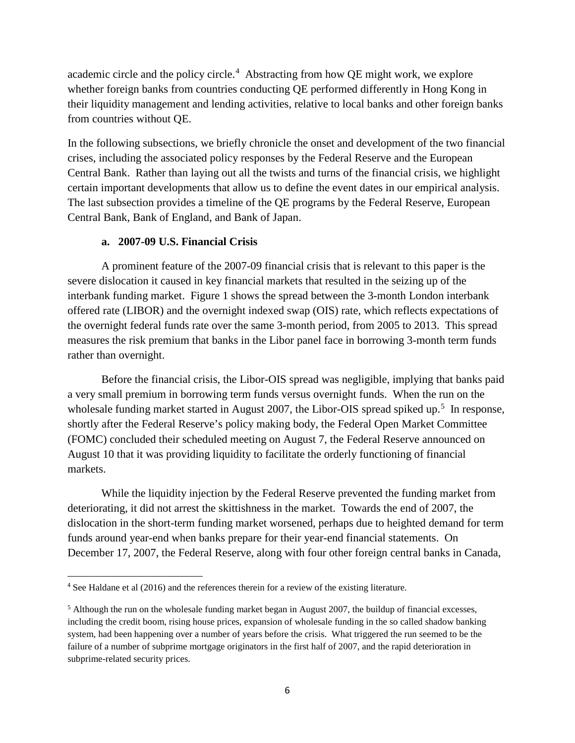academic circle and the policy circle.<sup>[4](#page-6-0)</sup> Abstracting from how QE might work, we explore whether foreign banks from countries conducting QE performed differently in Hong Kong in their liquidity management and lending activities, relative to local banks and other foreign banks from countries without QE.

In the following subsections, we briefly chronicle the onset and development of the two financial crises, including the associated policy responses by the Federal Reserve and the European Central Bank. Rather than laying out all the twists and turns of the financial crisis, we highlight certain important developments that allow us to define the event dates in our empirical analysis. The last subsection provides a timeline of the QE programs by the Federal Reserve, European Central Bank, Bank of England, and Bank of Japan.

#### **a. 2007-09 U.S. Financial Crisis**

A prominent feature of the 2007-09 financial crisis that is relevant to this paper is the severe dislocation it caused in key financial markets that resulted in the seizing up of the interbank funding market. Figure 1 shows the spread between the 3-month London interbank offered rate (LIBOR) and the overnight indexed swap (OIS) rate, which reflects expectations of the overnight federal funds rate over the same 3-month period, from 2005 to 2013. This spread measures the risk premium that banks in the Libor panel face in borrowing 3-month term funds rather than overnight.

Before the financial crisis, the Libor-OIS spread was negligible, implying that banks paid a very small premium in borrowing term funds versus overnight funds. When the run on the wholesale funding market started in August 2007, the Libor-OIS spread spiked up.<sup>[5](#page-6-1)</sup> In response, shortly after the Federal Reserve's policy making body, the Federal Open Market Committee (FOMC) concluded their scheduled meeting on August 7, the Federal Reserve announced on August 10 that it was providing liquidity to facilitate the orderly functioning of financial markets.

While the liquidity injection by the Federal Reserve prevented the funding market from deteriorating, it did not arrest the skittishness in the market. Towards the end of 2007, the dislocation in the short-term funding market worsened, perhaps due to heighted demand for term funds around year-end when banks prepare for their year-end financial statements. On December 17, 2007, the Federal Reserve, along with four other foreign central banks in Canada,

<span id="page-6-0"></span> <sup>4</sup> See Haldane et al (2016) and the references therein for a review of the existing literature.

<span id="page-6-1"></span><sup>5</sup> Although the run on the wholesale funding market began in August 2007, the buildup of financial excesses, including the credit boom, rising house prices, expansion of wholesale funding in the so called shadow banking system, had been happening over a number of years before the crisis. What triggered the run seemed to be the failure of a number of subprime mortgage originators in the first half of 2007, and the rapid deterioration in subprime-related security prices.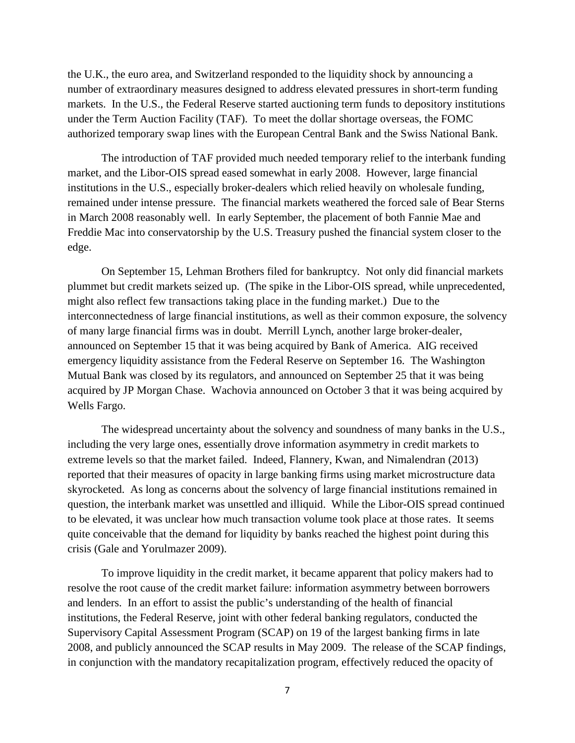the U.K., the euro area, and Switzerland responded to the liquidity shock by announcing a number of extraordinary measures designed to address elevated pressures in short-term funding markets. In the U.S., the Federal Reserve started auctioning term funds to depository institutions under the Term Auction Facility (TAF). To meet the dollar shortage overseas, the FOMC authorized temporary swap lines with the European Central Bank and the Swiss National Bank.

The introduction of TAF provided much needed temporary relief to the interbank funding market, and the Libor-OIS spread eased somewhat in early 2008. However, large financial institutions in the U.S., especially broker-dealers which relied heavily on wholesale funding, remained under intense pressure. The financial markets weathered the forced sale of Bear Sterns in March 2008 reasonably well. In early September, the placement of both Fannie Mae and Freddie Mac into conservatorship by the U.S. Treasury pushed the financial system closer to the edge.

On September 15, Lehman Brothers filed for bankruptcy. Not only did financial markets plummet but credit markets seized up. (The spike in the Libor-OIS spread, while unprecedented, might also reflect few transactions taking place in the funding market.) Due to the interconnectedness of large financial institutions, as well as their common exposure, the solvency of many large financial firms was in doubt. Merrill Lynch, another large broker-dealer, announced on September 15 that it was being acquired by Bank of America. AIG received emergency liquidity assistance from the Federal Reserve on September 16. The Washington Mutual Bank was closed by its regulators, and announced on September 25 that it was being acquired by JP Morgan Chase. Wachovia announced on October 3 that it was being acquired by Wells Fargo.

The widespread uncertainty about the solvency and soundness of many banks in the U.S., including the very large ones, essentially drove information asymmetry in credit markets to extreme levels so that the market failed. Indeed, Flannery, Kwan, and Nimalendran (2013) reported that their measures of opacity in large banking firms using market microstructure data skyrocketed. As long as concerns about the solvency of large financial institutions remained in question, the interbank market was unsettled and illiquid. While the Libor-OIS spread continued to be elevated, it was unclear how much transaction volume took place at those rates. It seems quite conceivable that the demand for liquidity by banks reached the highest point during this crisis (Gale and Yorulmazer 2009).

To improve liquidity in the credit market, it became apparent that policy makers had to resolve the root cause of the credit market failure: information asymmetry between borrowers and lenders. In an effort to assist the public's understanding of the health of financial institutions, the Federal Reserve, joint with other federal banking regulators, conducted the Supervisory Capital Assessment Program (SCAP) on 19 of the largest banking firms in late 2008, and publicly announced the SCAP results in May 2009. The release of the SCAP findings, in conjunction with the mandatory recapitalization program, effectively reduced the opacity of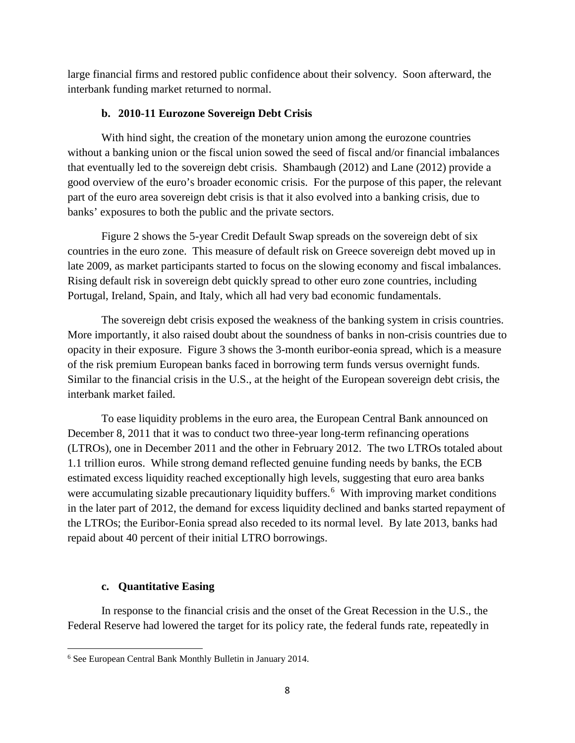large financial firms and restored public confidence about their solvency. Soon afterward, the interbank funding market returned to normal.

## **b. 2010-11 Eurozone Sovereign Debt Crisis**

With hind sight, the creation of the monetary union among the eurozone countries without a banking union or the fiscal union sowed the seed of fiscal and/or financial imbalances that eventually led to the sovereign debt crisis. Shambaugh (2012) and Lane (2012) provide a good overview of the euro's broader economic crisis. For the purpose of this paper, the relevant part of the euro area sovereign debt crisis is that it also evolved into a banking crisis, due to banks' exposures to both the public and the private sectors.

Figure 2 shows the 5-year Credit Default Swap spreads on the sovereign debt of six countries in the euro zone. This measure of default risk on Greece sovereign debt moved up in late 2009, as market participants started to focus on the slowing economy and fiscal imbalances. Rising default risk in sovereign debt quickly spread to other euro zone countries, including Portugal, Ireland, Spain, and Italy, which all had very bad economic fundamentals.

The sovereign debt crisis exposed the weakness of the banking system in crisis countries. More importantly, it also raised doubt about the soundness of banks in non-crisis countries due to opacity in their exposure. Figure 3 shows the 3-month euribor-eonia spread, which is a measure of the risk premium European banks faced in borrowing term funds versus overnight funds. Similar to the financial crisis in the U.S., at the height of the European sovereign debt crisis, the interbank market failed.

To ease liquidity problems in the euro area, the European Central Bank announced on December 8, 2011 that it was to conduct two three-year long-term refinancing operations (LTROs), one in December 2011 and the other in February 2012. The two LTROs totaled about 1.1 trillion euros. While strong demand reflected genuine funding needs by banks, the ECB estimated excess liquidity reached exceptionally high levels, suggesting that euro area banks were accumulating sizable precautionary liquidity buffers.<sup>[6](#page-8-0)</sup> With improving market conditions in the later part of 2012, the demand for excess liquidity declined and banks started repayment of the LTROs; the Euribor-Eonia spread also receded to its normal level. By late 2013, banks had repaid about 40 percent of their initial LTRO borrowings.

# **c. Quantitative Easing**

In response to the financial crisis and the onset of the Great Recession in the U.S., the Federal Reserve had lowered the target for its policy rate, the federal funds rate, repeatedly in

<span id="page-8-0"></span> $\overline{a}$ <sup>6</sup> See European Central Bank Monthly Bulletin in January 2014.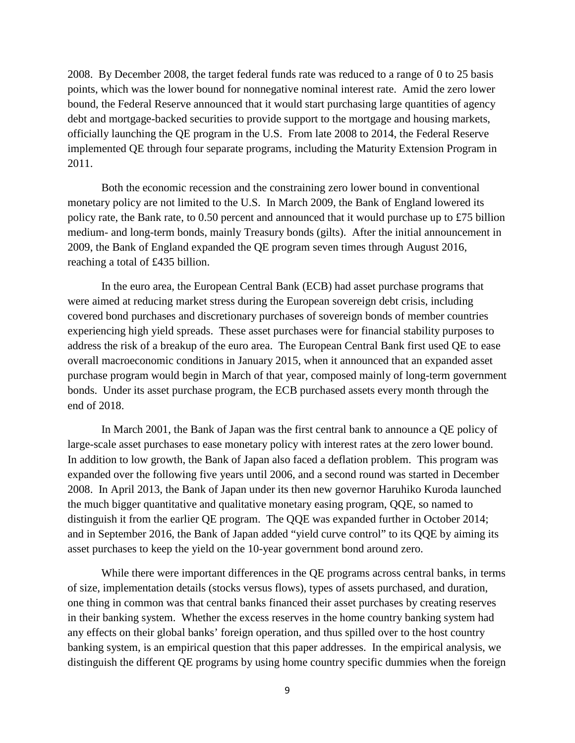2008. By December 2008, the target federal funds rate was reduced to a range of 0 to 25 basis points, which was the lower bound for nonnegative nominal interest rate. Amid the zero lower bound, the Federal Reserve announced that it would start purchasing large quantities of agency debt and mortgage-backed securities to provide support to the mortgage and housing markets, officially launching the QE program in the U.S. From late 2008 to 2014, the Federal Reserve implemented QE through four separate programs, including the Maturity Extension Program in 2011.

Both the economic recession and the constraining zero lower bound in conventional monetary policy are not limited to the U.S. In March 2009, the Bank of England lowered its policy rate, the Bank rate, to 0.50 percent and announced that it would purchase up to £75 billion medium- and long-term bonds, mainly Treasury bonds (gilts). After the initial announcement in 2009, the Bank of England expanded the QE program seven times through August 2016, reaching a total of £435 billion.

In the euro area, the European Central Bank (ECB) had asset purchase programs that were aimed at reducing market stress during the European sovereign debt crisis, including covered bond purchases and discretionary purchases of sovereign bonds of member countries experiencing high yield spreads. These asset purchases were for financial stability purposes to address the risk of a breakup of the euro area. The European Central Bank first used QE to ease overall macroeconomic conditions in January 2015, when it announced that an expanded asset purchase program would begin in March of that year, composed mainly of long-term government bonds. Under its asset purchase program, the ECB purchased assets every month through the end of 2018.

In March 2001, the Bank of Japan was the first central bank to announce a QE policy of large-scale asset purchases to ease monetary policy with interest rates at the zero lower bound. In addition to low growth, the Bank of Japan also faced a deflation problem. This program was expanded over the following five years until 2006, and a second round was started in December 2008. In April 2013, the Bank of Japan under its then new governor Haruhiko Kuroda launched the much bigger quantitative and qualitative monetary easing program, QQE, so named to distinguish it from the earlier QE program. The QQE was expanded further in October 2014; and in September 2016, the Bank of Japan added "yield curve control" to its QQE by aiming its asset purchases to keep the yield on the 10-year government bond around zero.

While there were important differences in the QE programs across central banks, in terms of size, implementation details (stocks versus flows), types of assets purchased, and duration, one thing in common was that central banks financed their asset purchases by creating reserves in their banking system. Whether the excess reserves in the home country banking system had any effects on their global banks' foreign operation, and thus spilled over to the host country banking system, is an empirical question that this paper addresses. In the empirical analysis, we distinguish the different QE programs by using home country specific dummies when the foreign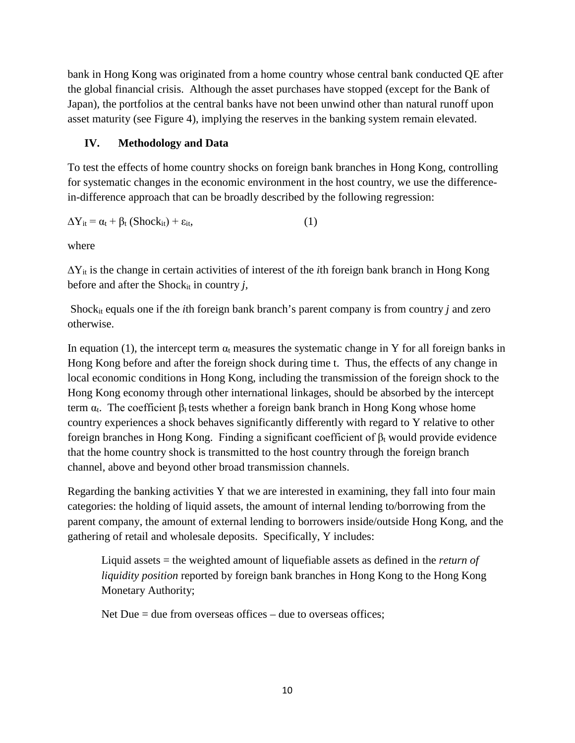bank in Hong Kong was originated from a home country whose central bank conducted QE after the global financial crisis. Although the asset purchases have stopped (except for the Bank of Japan), the portfolios at the central banks have not been unwind other than natural runoff upon asset maturity (see Figure 4), implying the reserves in the banking system remain elevated.

# **IV. Methodology and Data**

To test the effects of home country shocks on foreign bank branches in Hong Kong, controlling for systematic changes in the economic environment in the host country, we use the differencein-difference approach that can be broadly described by the following regression:

$$
\Delta Y_{it} = \alpha_t + \beta_t (Shock_{it}) + \varepsilon_{it}, \qquad (1)
$$

where

∆Yit is the change in certain activities of interest of the *i*th foreign bank branch in Hong Kong before and after the Shock<sub>it</sub> in country  $j$ ,

Shockit equals one if the *i*th foreign bank branch's parent company is from country *j* and zero otherwise.

In equation (1), the intercept term  $\alpha_t$  measures the systematic change in Y for all foreign banks in Hong Kong before and after the foreign shock during time t. Thus, the effects of any change in local economic conditions in Hong Kong, including the transmission of the foreign shock to the Hong Kong economy through other international linkages, should be absorbed by the intercept term  $\alpha_t$ . The coefficient  $\beta_t$  tests whether a foreign bank branch in Hong Kong whose home country experiences a shock behaves significantly differently with regard to Y relative to other foreign branches in Hong Kong. Finding a significant coefficient of  $β_t$  would provide evidence that the home country shock is transmitted to the host country through the foreign branch channel, above and beyond other broad transmission channels.

Regarding the banking activities Y that we are interested in examining, they fall into four main categories: the holding of liquid assets, the amount of internal lending to/borrowing from the parent company, the amount of external lending to borrowers inside/outside Hong Kong, and the gathering of retail and wholesale deposits. Specifically, Y includes:

Liquid assets = the weighted amount of liquefiable assets as defined in the *return of liquidity position* reported by foreign bank branches in Hong Kong to the Hong Kong Monetary Authority;

Net Due  $=$  due from overseas offices  $-$  due to overseas offices;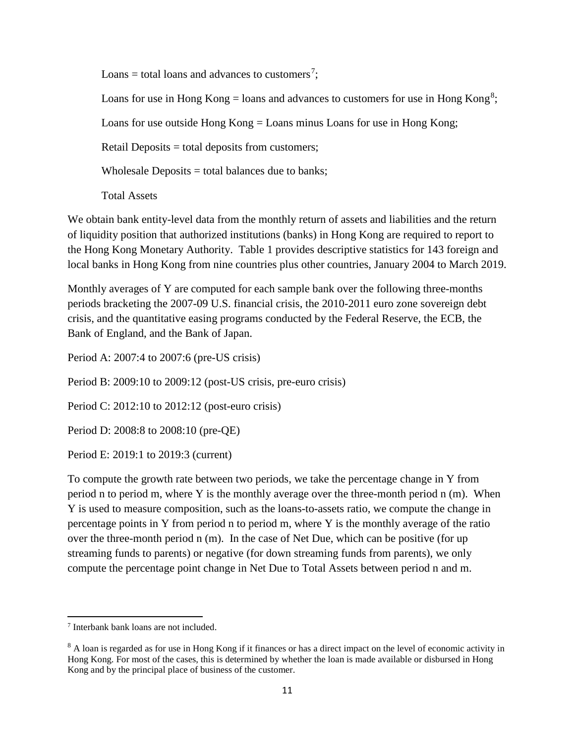Loans = total loans and advances to customers<sup>[7](#page-11-0)</sup>;

Loans for use in Hong Kong = loans and advances to customers for use in Hong Kong<sup>[8](#page-11-1)</sup>;

Loans for use outside Hong Kong = Loans minus Loans for use in Hong Kong;

Retail Deposits = total deposits from customers;

Wholesale Deposits  $=$  total balances due to banks;

Total Assets

We obtain bank entity-level data from the monthly return of assets and liabilities and the return of liquidity position that authorized institutions (banks) in Hong Kong are required to report to the Hong Kong Monetary Authority. Table 1 provides descriptive statistics for 143 foreign and local banks in Hong Kong from nine countries plus other countries, January 2004 to March 2019.

Monthly averages of Y are computed for each sample bank over the following three-months periods bracketing the 2007-09 U.S. financial crisis, the 2010-2011 euro zone sovereign debt crisis, and the quantitative easing programs conducted by the Federal Reserve, the ECB, the Bank of England, and the Bank of Japan.

Period A: 2007:4 to 2007:6 (pre-US crisis)

Period B: 2009:10 to 2009:12 (post-US crisis, pre-euro crisis)

Period C: 2012:10 to 2012:12 (post-euro crisis)

Period D: 2008:8 to 2008:10 (pre-QE)

Period E: 2019:1 to 2019:3 (current)

To compute the growth rate between two periods, we take the percentage change in Y from period n to period m, where Y is the monthly average over the three-month period n (m). When Y is used to measure composition, such as the loans-to-assets ratio, we compute the change in percentage points in Y from period n to period m, where Y is the monthly average of the ratio over the three-month period n (m). In the case of Net Due, which can be positive (for up streaming funds to parents) or negative (for down streaming funds from parents), we only compute the percentage point change in Net Due to Total Assets between period n and m.

<span id="page-11-0"></span>l <sup>7</sup> Interbank bank loans are not included.

<span id="page-11-1"></span><sup>&</sup>lt;sup>8</sup> A loan is regarded as for use in Hong Kong if it finances or has a direct impact on the level of economic activity in Hong Kong. For most of the cases, this is determined by whether the loan is made available or disbursed in Hong Kong and by the principal place of business of the customer.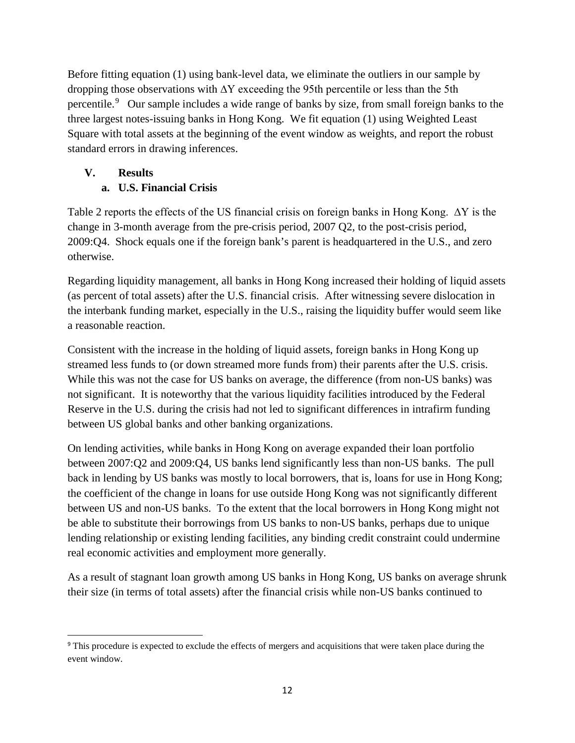Before fitting equation (1) using bank-level data, we eliminate the outliers in our sample by dropping those observations with  $\Delta Y$  exceeding the 95th percentile or less than the 5th percentile.<sup>[9](#page-12-0)</sup> Our sample includes a wide range of banks by size, from small foreign banks to the three largest notes-issuing banks in Hong Kong. We fit equation (1) using Weighted Least Square with total assets at the beginning of the event window as weights, and report the robust standard errors in drawing inferences.

# **V. Results**

# **a. U.S. Financial Crisis**

Table 2 reports the effects of the US financial crisis on foreign banks in Hong Kong. ∆Y is the change in 3-month average from the pre-crisis period, 2007 Q2, to the post-crisis period, 2009:Q4. Shock equals one if the foreign bank's parent is headquartered in the U.S., and zero otherwise.

Regarding liquidity management, all banks in Hong Kong increased their holding of liquid assets (as percent of total assets) after the U.S. financial crisis. After witnessing severe dislocation in the interbank funding market, especially in the U.S., raising the liquidity buffer would seem like a reasonable reaction.

Consistent with the increase in the holding of liquid assets, foreign banks in Hong Kong up streamed less funds to (or down streamed more funds from) their parents after the U.S. crisis. While this was not the case for US banks on average, the difference (from non-US banks) was not significant. It is noteworthy that the various liquidity facilities introduced by the Federal Reserve in the U.S. during the crisis had not led to significant differences in intrafirm funding between US global banks and other banking organizations.

On lending activities, while banks in Hong Kong on average expanded their loan portfolio between 2007:Q2 and 2009:Q4, US banks lend significantly less than non-US banks. The pull back in lending by US banks was mostly to local borrowers, that is, loans for use in Hong Kong; the coefficient of the change in loans for use outside Hong Kong was not significantly different between US and non-US banks. To the extent that the local borrowers in Hong Kong might not be able to substitute their borrowings from US banks to non-US banks, perhaps due to unique lending relationship or existing lending facilities, any binding credit constraint could undermine real economic activities and employment more generally.

As a result of stagnant loan growth among US banks in Hong Kong, US banks on average shrunk their size (in terms of total assets) after the financial crisis while non-US banks continued to

<span id="page-12-0"></span><sup>&</sup>lt;sup>9</sup> This procedure is expected to exclude the effects of mergers and acquisitions that were taken place during the event window.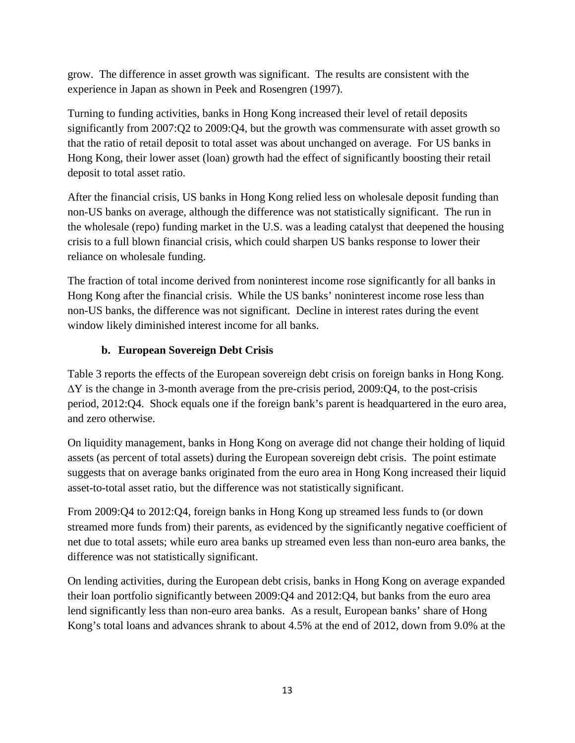grow. The difference in asset growth was significant. The results are consistent with the experience in Japan as shown in Peek and Rosengren (1997).

Turning to funding activities, banks in Hong Kong increased their level of retail deposits significantly from 2007:Q2 to 2009:Q4, but the growth was commensurate with asset growth so that the ratio of retail deposit to total asset was about unchanged on average. For US banks in Hong Kong, their lower asset (loan) growth had the effect of significantly boosting their retail deposit to total asset ratio.

After the financial crisis, US banks in Hong Kong relied less on wholesale deposit funding than non-US banks on average, although the difference was not statistically significant. The run in the wholesale (repo) funding market in the U.S. was a leading catalyst that deepened the housing crisis to a full blown financial crisis, which could sharpen US banks response to lower their reliance on wholesale funding.

The fraction of total income derived from noninterest income rose significantly for all banks in Hong Kong after the financial crisis. While the US banks' noninterest income rose less than non-US banks, the difference was not significant. Decline in interest rates during the event window likely diminished interest income for all banks.

# **b. European Sovereign Debt Crisis**

Table 3 reports the effects of the European sovereign debt crisis on foreign banks in Hong Kong. ∆Y is the change in 3-month average from the pre-crisis period, 2009:Q4, to the post-crisis period, 2012:Q4. Shock equals one if the foreign bank's parent is headquartered in the euro area, and zero otherwise.

On liquidity management, banks in Hong Kong on average did not change their holding of liquid assets (as percent of total assets) during the European sovereign debt crisis. The point estimate suggests that on average banks originated from the euro area in Hong Kong increased their liquid asset-to-total asset ratio, but the difference was not statistically significant.

From 2009:Q4 to 2012:Q4, foreign banks in Hong Kong up streamed less funds to (or down streamed more funds from) their parents, as evidenced by the significantly negative coefficient of net due to total assets; while euro area banks up streamed even less than non-euro area banks, the difference was not statistically significant.

On lending activities, during the European debt crisis, banks in Hong Kong on average expanded their loan portfolio significantly between 2009:Q4 and 2012:Q4, but banks from the euro area lend significantly less than non-euro area banks. As a result, European banks' share of Hong Kong's total loans and advances shrank to about 4.5% at the end of 2012, down from 9.0% at the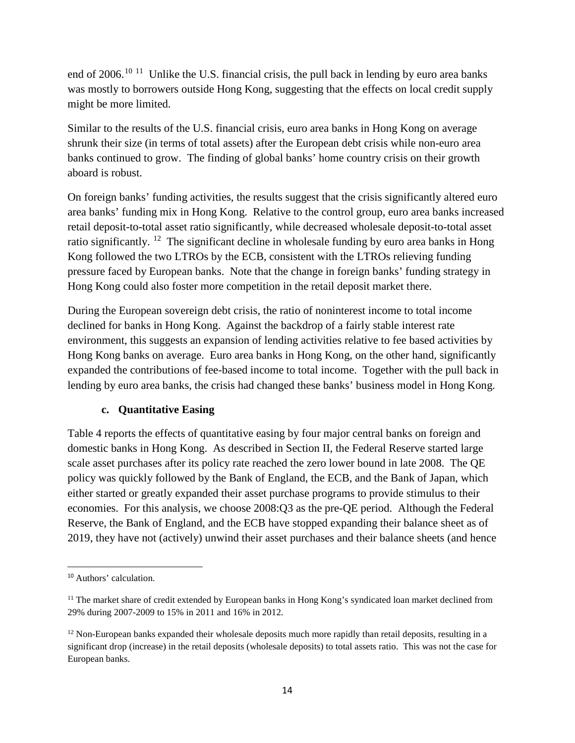end of 2006.<sup>[10](#page-14-0) 11</sup> Unlike the U.S. financial crisis, the pull back in lending by euro area banks was mostly to borrowers outside Hong Kong, suggesting that the effects on local credit supply might be more limited.

Similar to the results of the U.S. financial crisis, euro area banks in Hong Kong on average shrunk their size (in terms of total assets) after the European debt crisis while non-euro area banks continued to grow. The finding of global banks' home country crisis on their growth aboard is robust.

On foreign banks' funding activities, the results suggest that the crisis significantly altered euro area banks' funding mix in Hong Kong. Relative to the control group, euro area banks increased retail deposit-to-total asset ratio significantly, while decreased wholesale deposit-to-total asset ratio significantly. <sup>12</sup> The significant decline in wholesale funding by euro area banks in Hong Kong followed the two LTROs by the ECB, consistent with the LTROs relieving funding pressure faced by European banks. Note that the change in foreign banks' funding strategy in Hong Kong could also foster more competition in the retail deposit market there.

During the European sovereign debt crisis, the ratio of noninterest income to total income declined for banks in Hong Kong. Against the backdrop of a fairly stable interest rate environment, this suggests an expansion of lending activities relative to fee based activities by Hong Kong banks on average. Euro area banks in Hong Kong, on the other hand, significantly expanded the contributions of fee-based income to total income. Together with the pull back in lending by euro area banks, the crisis had changed these banks' business model in Hong Kong.

# **c. Quantitative Easing**

Table 4 reports the effects of quantitative easing by four major central banks on foreign and domestic banks in Hong Kong. As described in Section II, the Federal Reserve started large scale asset purchases after its policy rate reached the zero lower bound in late 2008. The QE policy was quickly followed by the Bank of England, the ECB, and the Bank of Japan, which either started or greatly expanded their asset purchase programs to provide stimulus to their economies. For this analysis, we choose 2008:Q3 as the pre-QE period. Although the Federal Reserve, the Bank of England, and the ECB have stopped expanding their balance sheet as of 2019, they have not (actively) unwind their asset purchases and their balance sheets (and hence

<span id="page-14-0"></span> <sup>10</sup> Authors' calculation.

<span id="page-14-1"></span><sup>&</sup>lt;sup>11</sup> The market share of credit extended by European banks in Hong Kong's syndicated loan market declined from 29% during 2007-2009 to 15% in 2011 and 16% in 2012.

<span id="page-14-2"></span><sup>&</sup>lt;sup>12</sup> Non-European banks expanded their wholesale deposits much more rapidly than retail deposits, resulting in a significant drop (increase) in the retail deposits (wholesale deposits) to total assets ratio. This was not the case for European banks.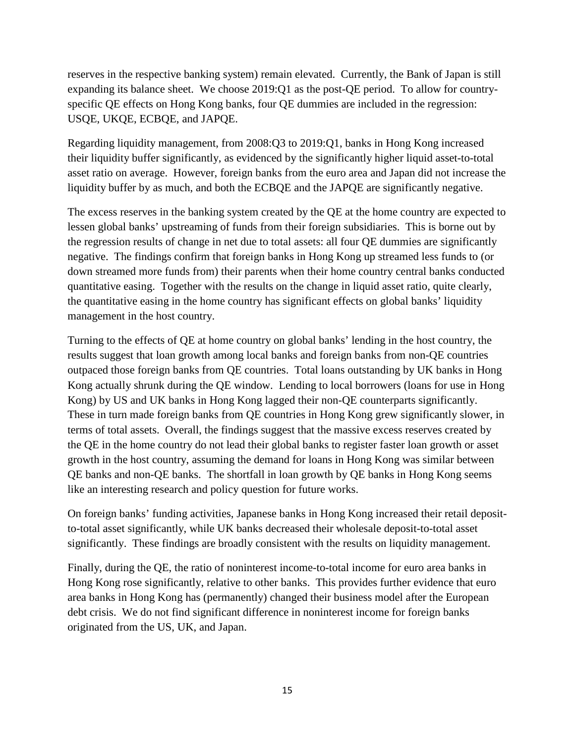reserves in the respective banking system) remain elevated. Currently, the Bank of Japan is still expanding its balance sheet. We choose 2019:Q1 as the post-QE period. To allow for countryspecific QE effects on Hong Kong banks, four QE dummies are included in the regression: USQE, UKQE, ECBQE, and JAPQE.

Regarding liquidity management, from 2008:Q3 to 2019:Q1, banks in Hong Kong increased their liquidity buffer significantly, as evidenced by the significantly higher liquid asset-to-total asset ratio on average. However, foreign banks from the euro area and Japan did not increase the liquidity buffer by as much, and both the ECBQE and the JAPQE are significantly negative.

The excess reserves in the banking system created by the QE at the home country are expected to lessen global banks' upstreaming of funds from their foreign subsidiaries. This is borne out by the regression results of change in net due to total assets: all four QE dummies are significantly negative. The findings confirm that foreign banks in Hong Kong up streamed less funds to (or down streamed more funds from) their parents when their home country central banks conducted quantitative easing. Together with the results on the change in liquid asset ratio, quite clearly, the quantitative easing in the home country has significant effects on global banks' liquidity management in the host country.

Turning to the effects of QE at home country on global banks' lending in the host country, the results suggest that loan growth among local banks and foreign banks from non-QE countries outpaced those foreign banks from QE countries. Total loans outstanding by UK banks in Hong Kong actually shrunk during the QE window. Lending to local borrowers (loans for use in Hong Kong) by US and UK banks in Hong Kong lagged their non-QE counterparts significantly. These in turn made foreign banks from QE countries in Hong Kong grew significantly slower, in terms of total assets. Overall, the findings suggest that the massive excess reserves created by the QE in the home country do not lead their global banks to register faster loan growth or asset growth in the host country, assuming the demand for loans in Hong Kong was similar between QE banks and non-QE banks. The shortfall in loan growth by QE banks in Hong Kong seems like an interesting research and policy question for future works.

On foreign banks' funding activities, Japanese banks in Hong Kong increased their retail depositto-total asset significantly, while UK banks decreased their wholesale deposit-to-total asset significantly. These findings are broadly consistent with the results on liquidity management.

Finally, during the QE, the ratio of noninterest income-to-total income for euro area banks in Hong Kong rose significantly, relative to other banks. This provides further evidence that euro area banks in Hong Kong has (permanently) changed their business model after the European debt crisis. We do not find significant difference in noninterest income for foreign banks originated from the US, UK, and Japan.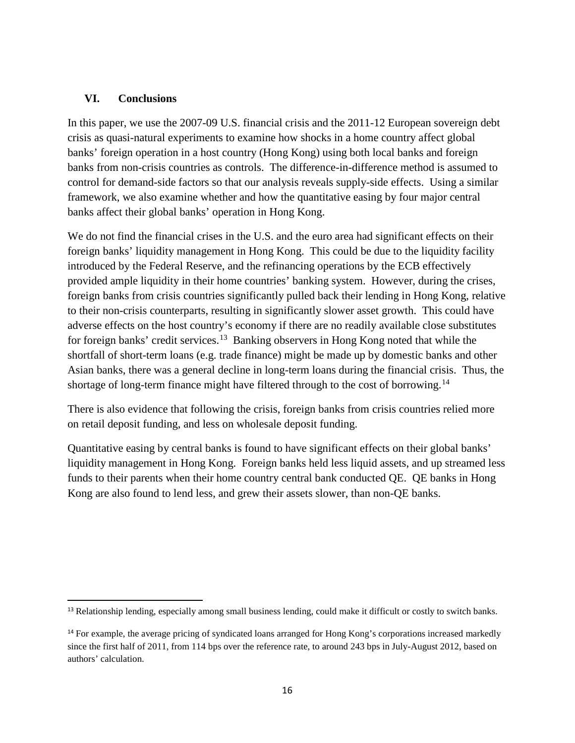#### **VI. Conclusions**

In this paper, we use the 2007-09 U.S. financial crisis and the 2011-12 European sovereign debt crisis as quasi-natural experiments to examine how shocks in a home country affect global banks' foreign operation in a host country (Hong Kong) using both local banks and foreign banks from non-crisis countries as controls. The difference-in-difference method is assumed to control for demand-side factors so that our analysis reveals supply-side effects. Using a similar framework, we also examine whether and how the quantitative easing by four major central banks affect their global banks' operation in Hong Kong.

We do not find the financial crises in the U.S. and the euro area had significant effects on their foreign banks' liquidity management in Hong Kong. This could be due to the liquidity facility introduced by the Federal Reserve, and the refinancing operations by the ECB effectively provided ample liquidity in their home countries' banking system. However, during the crises, foreign banks from crisis countries significantly pulled back their lending in Hong Kong, relative to their non-crisis counterparts, resulting in significantly slower asset growth. This could have adverse effects on the host country's economy if there are no readily available close substitutes for foreign banks' credit services.<sup>[13](#page-16-0)</sup> Banking observers in Hong Kong noted that while the shortfall of short-term loans (e.g. trade finance) might be made up by domestic banks and other Asian banks, there was a general decline in long-term loans during the financial crisis. Thus, the shortage of long-term finance might have filtered through to the cost of borrowing.<sup>[14](#page-16-1)</sup>

There is also evidence that following the crisis, foreign banks from crisis countries relied more on retail deposit funding, and less on wholesale deposit funding.

Quantitative easing by central banks is found to have significant effects on their global banks' liquidity management in Hong Kong. Foreign banks held less liquid assets, and up streamed less funds to their parents when their home country central bank conducted QE. QE banks in Hong Kong are also found to lend less, and grew their assets slower, than non-QE banks.

<span id="page-16-0"></span><sup>&</sup>lt;sup>13</sup> Relationship lending, especially among small business lending, could make it difficult or costly to switch banks.

<span id="page-16-1"></span><sup>&</sup>lt;sup>14</sup> For example, the average pricing of syndicated loans arranged for Hong Kong's corporations increased markedly since the first half of 2011, from 114 bps over the reference rate, to around 243 bps in July-August 2012, based on authors' calculation.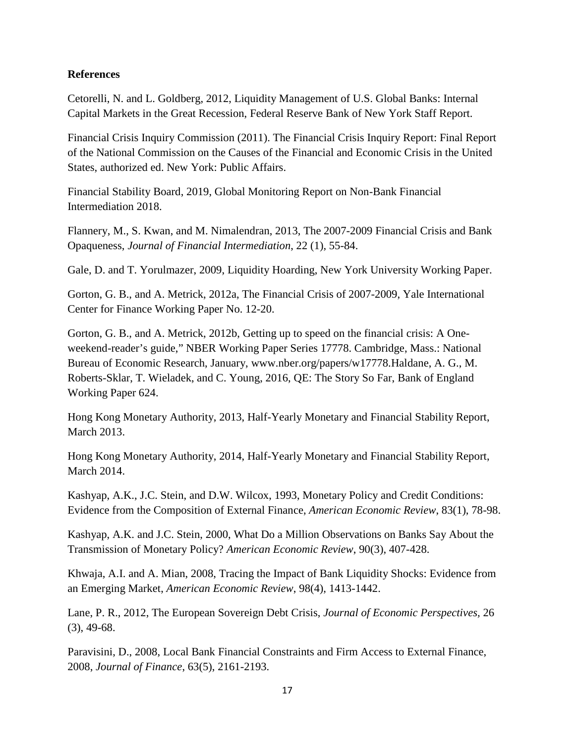## **References**

Cetorelli, N. and L. Goldberg, 2012, Liquidity Management of U.S. Global Banks: Internal Capital Markets in the Great Recession, Federal Reserve Bank of New York Staff Report.

Financial Crisis Inquiry Commission (2011). The Financial Crisis Inquiry Report: Final Report of the National Commission on the Causes of the Financial and Economic Crisis in the United States, authorized ed. New York: Public Affairs.

Financial Stability Board, 2019, Global Monitoring Report on Non-Bank Financial Intermediation 2018.

Flannery, M., S. Kwan, and M. Nimalendran, 2013, The 2007-2009 Financial Crisis and Bank Opaqueness, *Journal of Financial Intermediation*, 22 (1), 55-84.

Gale, D. and T. Yorulmazer, 2009, Liquidity Hoarding, New York University Working Paper.

Gorton, G. B., and A. Metrick, 2012a, The Financial Crisis of 2007-2009, Yale International Center for Finance Working Paper No. 12-20.

Gorton, G. B., and A. Metrick, 2012b, Getting up to speed on the financial crisis: A Oneweekend-reader's guide," NBER Working Paper Series 17778. Cambridge, Mass.: National Bureau of Economic Research, January, www.nber.org/papers/w17778.Haldane, A. G., M. Roberts-Sklar, T. Wieladek, and C. Young, 2016, QE: The Story So Far, Bank of England Working Paper 624.

Hong Kong Monetary Authority, 2013, Half-Yearly Monetary and Financial Stability Report, March 2013.

Hong Kong Monetary Authority, 2014, Half-Yearly Monetary and Financial Stability Report, March 2014.

Kashyap, A.K., J.C. Stein, and D.W. Wilcox, 1993, Monetary Policy and Credit Conditions: Evidence from the Composition of External Finance, *American Economic Review*, 83(1), 78-98.

Kashyap, A.K. and J.C. Stein, 2000, What Do a Million Observations on Banks Say About the Transmission of Monetary Policy? *American Economic Review*, 90(3), 407-428.

Khwaja, A.I. and A. Mian, 2008, Tracing the Impact of Bank Liquidity Shocks: Evidence from an Emerging Market, *American Economic Review*, 98(4), 1413-1442.

Lane, P. R., 2012, The European Sovereign Debt Crisis, *Journal of Economic Perspectives,* 26 (3), 49-68.

Paravisini, D., 2008, Local Bank Financial Constraints and Firm Access to External Finance, 2008, *Journal of Finance*, 63(5), 2161-2193.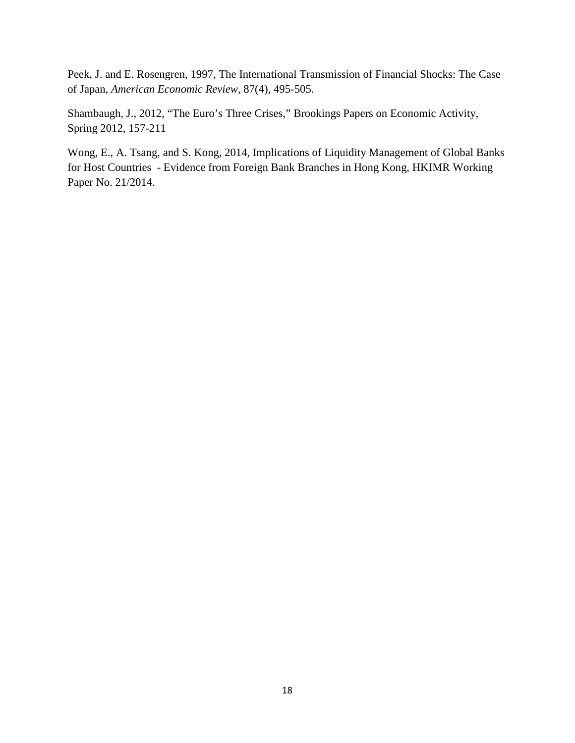Peek, J. and E. Rosengren, 1997, The International Transmission of Financial Shocks: The Case of Japan, *American Economic Review*, 87(4), 495-505.

Shambaugh, J., 2012, "The Euro's Three Crises," Brookings Papers on Economic Activity, Spring 2012, 157-211

Wong, E., A. Tsang, and S. Kong, 2014, Implications of Liquidity Management of Global Banks for Host Countries - Evidence from Foreign Bank Branches in Hong Kong, HKIMR Working Paper No. 21/2014.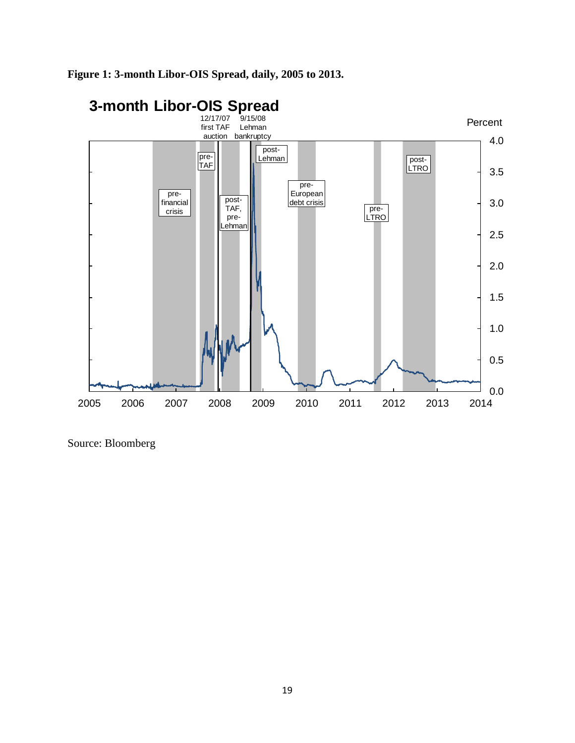

# **Figure 1: 3-month Libor-OIS Spread, daily, 2005 to 2013.**

Source: Bloomberg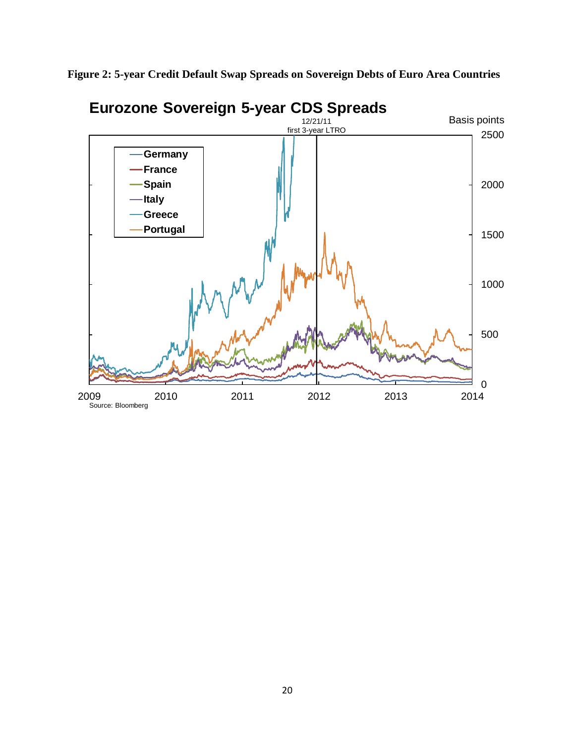**Figure 2: 5-year Credit Default Swap Spreads on Sovereign Debts of Euro Area Countries** 

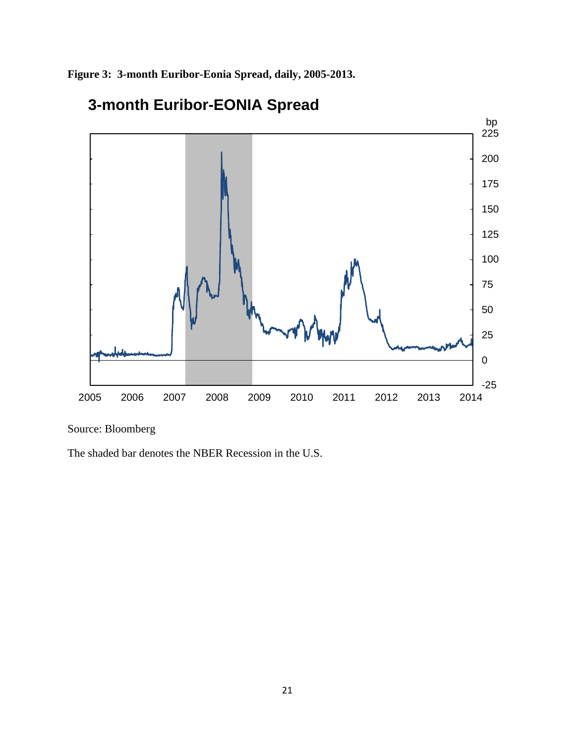**Figure 3: 3-month Euribor-Eonia Spread, daily, 2005-2013.**



# **3-month Euribor-EONIA Spread**

Source: Bloomberg

The shaded bar denotes the NBER Recession in the U.S.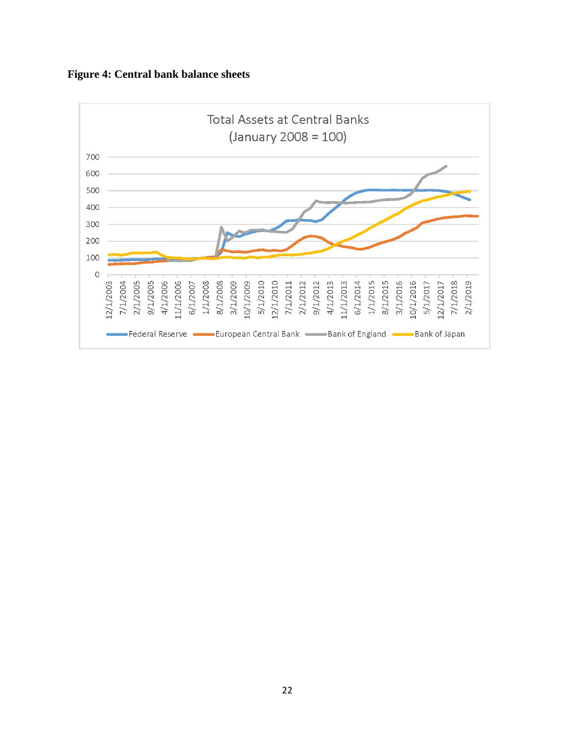

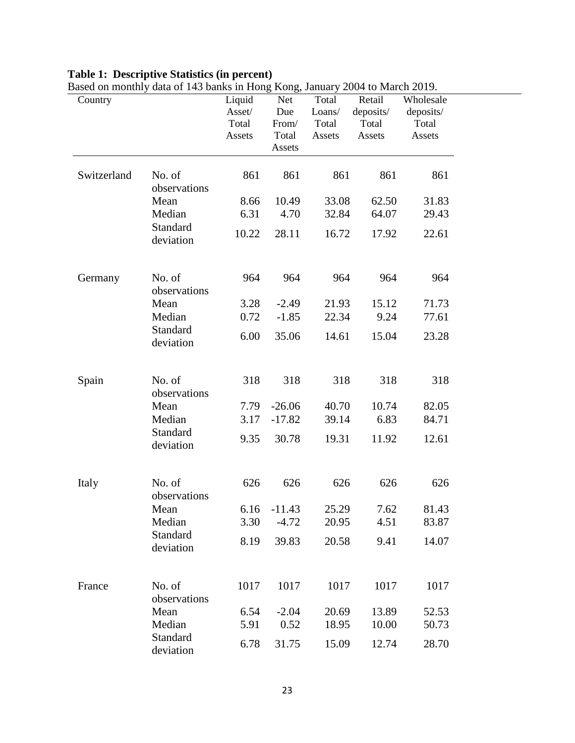#### **Table 1: Descriptive Statistics (in percent)**

| Country     | Dascu on montiny uata of 145 banks in Flong Kong, January 2004 to March 2017. | Liquid | Net            | Total  | Retail    | Wholesale |
|-------------|-------------------------------------------------------------------------------|--------|----------------|--------|-----------|-----------|
|             |                                                                               | Asset/ | Due            | Loans/ | deposits/ | deposits/ |
|             |                                                                               | Total  | From/          | Total  | Total     | Total     |
|             |                                                                               | Assets | Total          | Assets | Assets    | Assets    |
|             |                                                                               |        | Assets         |        |           |           |
|             |                                                                               |        |                |        |           |           |
| Switzerland | No. of                                                                        | 861    | 861            | 861    | 861       | 861       |
|             | observations                                                                  |        |                |        |           |           |
|             | Mean                                                                          | 8.66   | 10.49          | 33.08  | 62.50     | 31.83     |
|             | Median                                                                        | 6.31   | 4.70           | 32.84  | 64.07     | 29.43     |
|             | Standard                                                                      |        |                |        |           |           |
|             | deviation                                                                     | 10.22  | 28.11          | 16.72  | 17.92     | 22.61     |
|             |                                                                               |        |                |        |           |           |
| Germany     | No. of                                                                        | 964    | 964            | 964    | 964       | 964       |
|             | observations                                                                  |        |                |        |           |           |
|             | Mean                                                                          | 3.28   | $-2.49$        | 21.93  | 15.12     | 71.73     |
|             | Median                                                                        | 0.72   | $-1.85$        | 22.34  | 9.24      | 77.61     |
|             | Standard                                                                      |        |                |        |           |           |
|             | deviation                                                                     | 6.00   | 35.06          | 14.61  | 15.04     | 23.28     |
|             |                                                                               |        |                |        |           |           |
| Spain       | No. of                                                                        | 318    | 318            | 318    | 318       | 318       |
|             | observations                                                                  |        |                |        |           |           |
|             | Mean                                                                          | 7.79   | $-26.06$       | 40.70  | 10.74     | 82.05     |
|             | Median                                                                        | 3.17   | $-17.82$       | 39.14  | 6.83      | 84.71     |
|             | Standard                                                                      |        |                |        |           |           |
|             | deviation                                                                     | 9.35   | 30.78          | 19.31  | 11.92     | 12.61     |
|             |                                                                               |        |                |        |           |           |
| Italy       | No. of                                                                        | 626    | 626            | 626    | 626       | 626       |
|             | observations                                                                  |        |                |        |           |           |
|             | Mean                                                                          |        | $6.16 - 11.43$ | 25.29  | 7.62      | 81.43     |
|             | Median                                                                        | 3.30   | $-4.72$        | 20.95  | 4.51      | 83.87     |
|             | Standard                                                                      | 8.19   | 39.83          | 20.58  | 9.41      | 14.07     |
|             | deviation                                                                     |        |                |        |           |           |
|             |                                                                               |        |                |        |           |           |
| France      | No. of                                                                        | 1017   | 1017           | 1017   | 1017      | 1017      |
|             | observations                                                                  |        |                |        |           |           |
|             | Mean                                                                          | 6.54   | $-2.04$        | 20.69  | 13.89     | 52.53     |
|             | Median                                                                        | 5.91   | 0.52           | 18.95  | 10.00     | 50.73     |
|             | Standard                                                                      |        |                |        |           |           |
|             | deviation                                                                     | 6.78   | 31.75          | 15.09  | 12.74     | 28.70     |
|             |                                                                               |        |                |        |           |           |

Based on monthly data of 143 banks in Hong Kong, January 2004 to March 2019.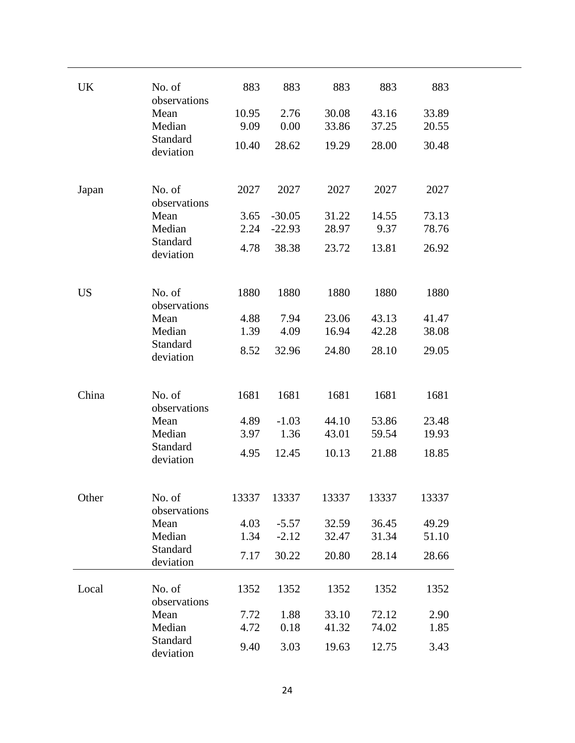| UK        | No. of               | 883   | 883      | 883   | 883   | 883   |  |
|-----------|----------------------|-------|----------|-------|-------|-------|--|
|           | observations<br>Mean | 10.95 | 2.76     | 30.08 | 43.16 | 33.89 |  |
|           | Median               | 9.09  | 0.00     | 33.86 | 37.25 | 20.55 |  |
|           | Standard             |       |          |       |       |       |  |
|           | deviation            | 10.40 | 28.62    | 19.29 | 28.00 | 30.48 |  |
|           |                      |       |          |       |       |       |  |
|           | No. of               | 2027  | 2027     | 2027  | 2027  | 2027  |  |
| Japan     | observations         |       |          |       |       |       |  |
|           | Mean                 | 3.65  | $-30.05$ | 31.22 | 14.55 | 73.13 |  |
|           | Median               | 2.24  | $-22.93$ | 28.97 | 9.37  | 78.76 |  |
|           | Standard             | 4.78  | 38.38    | 23.72 | 13.81 | 26.92 |  |
|           | deviation            |       |          |       |       |       |  |
|           |                      |       |          |       |       |       |  |
| <b>US</b> | No. of               | 1880  | 1880     | 1880  | 1880  | 1880  |  |
|           | observations         |       |          |       |       |       |  |
|           | Mean                 | 4.88  | 7.94     | 23.06 | 43.13 | 41.47 |  |
|           | Median               | 1.39  | 4.09     | 16.94 | 42.28 | 38.08 |  |
|           | Standard             | 8.52  | 32.96    | 24.80 | 28.10 | 29.05 |  |
|           | deviation            |       |          |       |       |       |  |
|           |                      |       |          |       |       |       |  |
| China     | No. of               | 1681  | 1681     | 1681  | 1681  | 1681  |  |
|           | observations         |       |          |       |       |       |  |
|           | Mean                 | 4.89  | $-1.03$  | 44.10 | 53.86 | 23.48 |  |
|           | Median               | 3.97  | 1.36     | 43.01 | 59.54 | 19.93 |  |
|           | Standard             | 4.95  | 12.45    | 10.13 | 21.88 | 18.85 |  |
|           | deviation            |       |          |       |       |       |  |
|           |                      |       |          |       |       |       |  |
| Other     | No. of               | 13337 | 13337    | 13337 | 13337 | 13337 |  |
|           | observations         |       |          |       |       |       |  |
|           | Mean                 | 4.03  | $-5.57$  | 32.59 | 36.45 | 49.29 |  |
|           | Median               | 1.34  | $-2.12$  | 32.47 | 31.34 | 51.10 |  |
|           | Standard             | 7.17  | 30.22    | 20.80 | 28.14 | 28.66 |  |
|           | deviation            |       |          |       |       |       |  |
| Local     | No. of               | 1352  | 1352     | 1352  | 1352  | 1352  |  |
|           | observations         |       |          |       |       |       |  |
|           | Mean                 | 7.72  | 1.88     | 33.10 | 72.12 | 2.90  |  |
|           | Median               | 4.72  | 0.18     | 41.32 | 74.02 | 1.85  |  |
|           | Standard             | 9.40  | 3.03     | 19.63 | 12.75 | 3.43  |  |
|           | deviation            |       |          |       |       |       |  |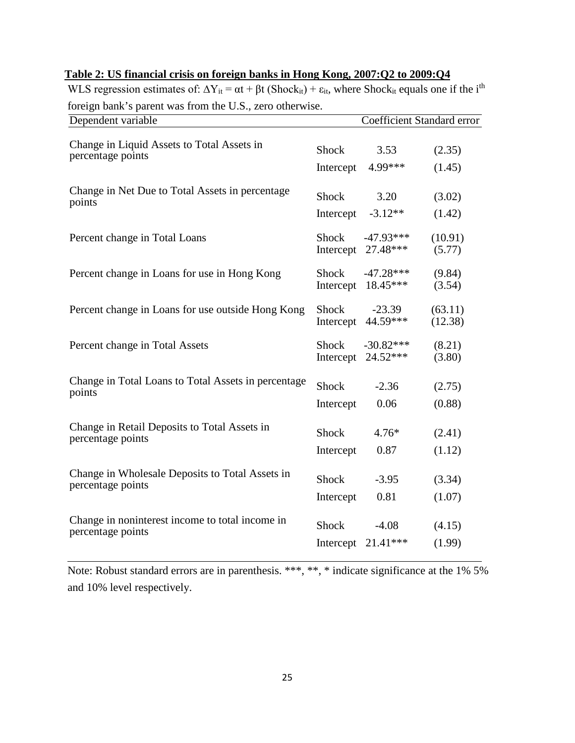| roreign bank s parent was from the O.D., Zero binci wise.<br>Dependent variable | <b>Coefficient Standard error</b> |             |         |  |
|---------------------------------------------------------------------------------|-----------------------------------|-------------|---------|--|
|                                                                                 |                                   |             |         |  |
| Change in Liquid Assets to Total Assets in<br>percentage points                 | Shock                             | 3.53        | (2.35)  |  |
|                                                                                 | Intercept                         | 4.99***     | (1.45)  |  |
| Change in Net Due to Total Assets in percentage                                 |                                   |             |         |  |
| points                                                                          | Shock                             | 3.20        | (3.02)  |  |
|                                                                                 | Intercept                         | $-3.12**$   | (1.42)  |  |
| Percent change in Total Loans                                                   | Shock                             | $-47.93***$ | (10.91) |  |
|                                                                                 | Intercept                         | 27.48***    | (5.77)  |  |
| Percent change in Loans for use in Hong Kong                                    | Shock                             | $-47.28***$ | (9.84)  |  |
|                                                                                 | Intercept                         | 18.45***    | (3.54)  |  |
| Percent change in Loans for use outside Hong Kong                               | <b>Shock</b>                      | $-23.39$    | (63.11) |  |
|                                                                                 | Intercept                         | 44.59***    | (12.38) |  |
| Percent change in Total Assets                                                  | Shock                             | $-30.82***$ | (8.21)  |  |
|                                                                                 | Intercept                         | 24.52***    | (3.80)  |  |
| Change in Total Loans to Total Assets in percentage                             |                                   |             |         |  |
| points                                                                          | Shock                             | $-2.36$     | (2.75)  |  |
|                                                                                 | Intercept                         | 0.06        | (0.88)  |  |
| Change in Retail Deposits to Total Assets in                                    | <b>Shock</b>                      | $4.76*$     | (2.41)  |  |
| percentage points                                                               | Intercept                         | 0.87        | (1.12)  |  |
|                                                                                 |                                   |             |         |  |
| Change in Wholesale Deposits to Total Assets in<br>percentage points            | Shock                             | $-3.95$     | (3.34)  |  |
|                                                                                 | Intercept                         | 0.81        | (1.07)  |  |
| Change in noninterest income to total income in                                 |                                   |             |         |  |
| percentage points                                                               | <b>Shock</b>                      | $-4.08$     | (4.15)  |  |
|                                                                                 | Intercept                         | $21.41***$  | (1.99)  |  |

## **Table 2: US financial crisis on foreign banks in Hong Kong, 2007:Q2 to 2009:Q4**

WLS regression estimates of:  $\Delta Y_{it} = \alpha t + \beta t$  (Shock<sub>it</sub>) +  $\varepsilon_{it}$ , where Shock<sub>it</sub> equals one if the i<sup>th</sup> foreign bank's parent was from the U.S., zero otherwise.

Note: Robust standard errors are in parenthesis. \*\*\*, \*\*, \* indicate significance at the 1% 5% and 10% level respectively.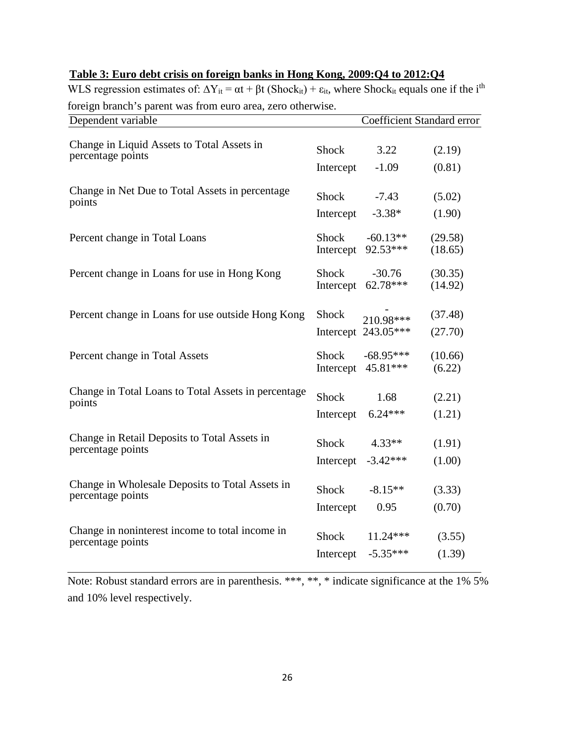| х.<br>Dependent variable                            | Coefficient Standard error |                                  |                    |  |
|-----------------------------------------------------|----------------------------|----------------------------------|--------------------|--|
| Change in Liquid Assets to Total Assets in          | Shock                      | 3.22                             | (2.19)             |  |
| percentage points                                   | Intercept                  | $-1.09$                          | (0.81)             |  |
| Change in Net Due to Total Assets in percentage     | Shock                      | $-7.43$                          | (5.02)             |  |
| points                                              | Intercept                  | $-3.38*$                         | (1.90)             |  |
| Percent change in Total Loans                       | Shock                      | $-60.13**$                       | (29.58)            |  |
|                                                     | Intercept                  | 92.53***                         | (18.65)            |  |
| Percent change in Loans for use in Hong Kong        | Shock                      | $-30.76$                         | (30.35)            |  |
|                                                     | Intercept                  | 62.78***                         | (14.92)            |  |
| Percent change in Loans for use outside Hong Kong   | Shock                      | 210.98***<br>Intercept 243.05*** | (37.48)<br>(27.70) |  |
| Percent change in Total Assets                      | Shock                      | $-68.95***$                      | (10.66)            |  |
|                                                     | Intercept                  | 45.81***                         | (6.22)             |  |
| Change in Total Loans to Total Assets in percentage | Shock                      | 1.68                             | (2.21)             |  |
| points                                              | Intercept                  | $6.24***$                        | (1.21)             |  |
| Change in Retail Deposits to Total Assets in        | Shock                      | $4.33**$                         | (1.91)             |  |
| percentage points                                   | Intercept                  | $-3.42***$                       | (1.00)             |  |
| Change in Wholesale Deposits to Total Assets in     | Shock                      | $-8.15**$                        | (3.33)             |  |
| percentage points                                   | Intercept                  | 0.95                             | (0.70)             |  |
| Change in noninterest income to total income in     | Shock                      | $11.24***$                       | (3.55)             |  |
| percentage points                                   | Intercept                  | $-5.35***$                       | (1.39)             |  |

# **Table 3: Euro debt crisis on foreign banks in Hong Kong, 2009:Q4 to 2012:Q4**

WLS regression estimates of:  $\Delta Y_{it} = \alpha t + \beta t$  (Shock<sub>it</sub>) +  $\varepsilon_{it}$ , where Shock<sub>it</sub> equals one if the i<sup>th</sup> foreign branch's parent was from euro area, zero otherwise.

Note: Robust standard errors are in parenthesis. \*\*\*, \*\*, \* indicate significance at the 1% 5% and 10% level respectively.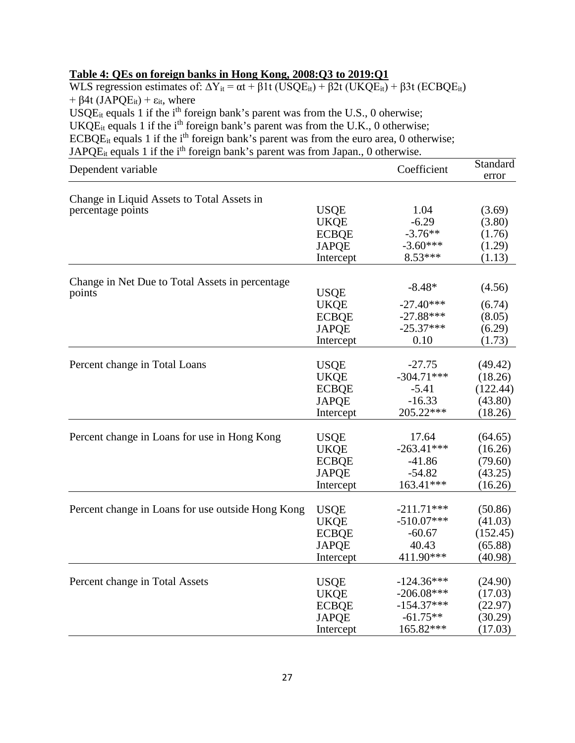# **Table 4: QEs on foreign banks in Hong Kong, 2008:Q3 to 2019:Q1**

WLS regression estimates of:  $\Delta Y_{it} = \alpha t + \beta 1 t$  (USQE<sub>it</sub>) +  $\beta 2t$  (UKQE<sub>it</sub>) +  $\beta 3t$  (ECBQE<sub>it</sub>) +  $\beta$ 4t (JAPQE<sub>it</sub>) +  $\varepsilon$ <sub>it</sub>, where USQE<sub>it</sub> equals 1 if the i<sup>th</sup> foreign bank's parent was from the U.S., 0 oherwise; UKQE<sub>it</sub> equals 1 if the i<sup>th</sup> foreign bank's parent was from the U.K., 0 otherwise; ECBQE<sub>it</sub> equals 1 if the i<sup>th</sup> foreign bank's parent was from the euro area, 0 otherwise; JAPQ $E_{it}$  equals 1 if the i<sup>th</sup> foreign bank's parent was from Japan., 0 otherwise.

| Dependent variable                                |              | Coefficient  | Standard<br>error |
|---------------------------------------------------|--------------|--------------|-------------------|
| Change in Liquid Assets to Total Assets in        |              |              |                   |
| percentage points                                 | <b>USQE</b>  | 1.04         | (3.69)            |
|                                                   | <b>UKQE</b>  | $-6.29$      | (3.80)            |
|                                                   | <b>ECBQE</b> | $-3.76**$    | (1.76)            |
|                                                   | <b>JAPQE</b> | $-3.60***$   | (1.29)            |
|                                                   | Intercept    | $8.53***$    | (1.13)            |
| Change in Net Due to Total Assets in percentage   |              |              |                   |
| points                                            | <b>USQE</b>  | $-8.48*$     | (4.56)            |
|                                                   | <b>UKQE</b>  | $-27.40***$  | (6.74)            |
|                                                   | <b>ECBQE</b> | $-27.88***$  | (8.05)            |
|                                                   | <b>JAPQE</b> | $-25.37***$  | (6.29)            |
|                                                   | Intercept    | 0.10         | (1.73)            |
|                                                   |              |              |                   |
| Percent change in Total Loans                     | <b>USQE</b>  | $-27.75$     | (49.42)           |
|                                                   | <b>UKQE</b>  | $-304.71***$ | (18.26)           |
|                                                   | <b>ECBQE</b> | $-5.41$      | (122.44)          |
|                                                   | <b>JAPQE</b> | $-16.33$     | (43.80)           |
|                                                   | Intercept    | 205.22***    | (18.26)           |
| Percent change in Loans for use in Hong Kong      | <b>USQE</b>  | 17.64        | (64.65)           |
|                                                   | <b>UKQE</b>  | $-263.41***$ | (16.26)           |
|                                                   | <b>ECBQE</b> | $-41.86$     | (79.60)           |
|                                                   | <b>JAPQE</b> | $-54.82$     | (43.25)           |
|                                                   | Intercept    | 163.41***    | (16.26)           |
|                                                   |              |              |                   |
| Percent change in Loans for use outside Hong Kong | <b>USQE</b>  | $-211.71***$ | (50.86)           |
|                                                   | <b>UKQE</b>  | $-510.07***$ | (41.03)           |
|                                                   | <b>ECBQE</b> | $-60.67$     | (152.45)          |
|                                                   | <b>JAPQE</b> | 40.43        | (65.88)           |
|                                                   | Intercept    | 411.90***    | (40.98)           |
| Percent change in Total Assets                    | <b>USQE</b>  | $-124.36***$ | (24.90)           |
|                                                   | <b>UKQE</b>  | $-206.08***$ | (17.03)           |
|                                                   | <b>ECBQE</b> | $-154.37***$ | (22.97)           |
|                                                   | <b>JAPQE</b> | $-61.75**$   | (30.29)           |
|                                                   | Intercept    | 165.82***    | (17.03)           |
|                                                   |              |              |                   |